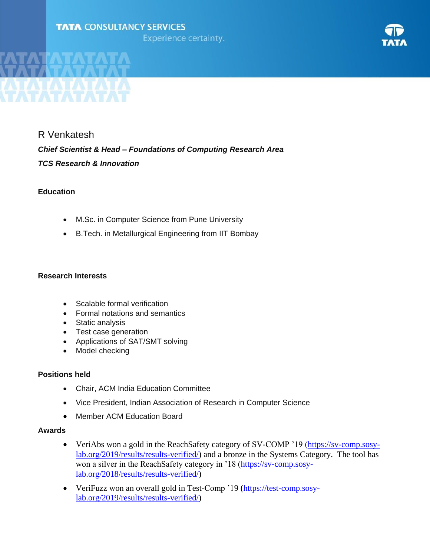## **TATA CONSULTANCY SERVICES**

**Experience certainty.** 



R Venkatesh *Chief Scientist & Head – Foundations of Computing Research Area TCS Research & Innovation*

## **Education**

- M.Sc. in Computer Science from Pune University
- B.Tech. in Metallurgical Engineering from IIT Bombay

## **Research Interests**

- Scalable formal verification
- Formal notations and semantics
- Static analysis
- Test case generation
- Applications of SAT/SMT solving
- Model checking

## **Positions held**

- Chair, ACM India Education Committee
- Vice President, Indian Association of Research in Computer Science
- Member ACM Education Board

### **Awards**

- VeriAbs won a gold in the ReachSafety category of SV-COMP '19 [\(https://sv-comp.sosy](https://sv-comp.sosy-lab.org/2019/results/results-verified/)[lab.org/2019/results/results-verified/\)](https://sv-comp.sosy-lab.org/2019/results/results-verified/) and a bronze in the Systems Category. The tool has won a silver in the ReachSafety category in '18 [\(https://sv-comp.sosy](https://sv-comp.sosy-lab.org/2018/results/results-verified/)[lab.org/2018/results/results-verified/\)](https://sv-comp.sosy-lab.org/2018/results/results-verified/)
- VeriFuzz won an overall gold in Test-Comp '19 [\(https://test-comp.sosy](https://test-comp.sosy-lab.org/2019/results/results-verified/)[lab.org/2019/results/results-verified/\)](https://test-comp.sosy-lab.org/2019/results/results-verified/)

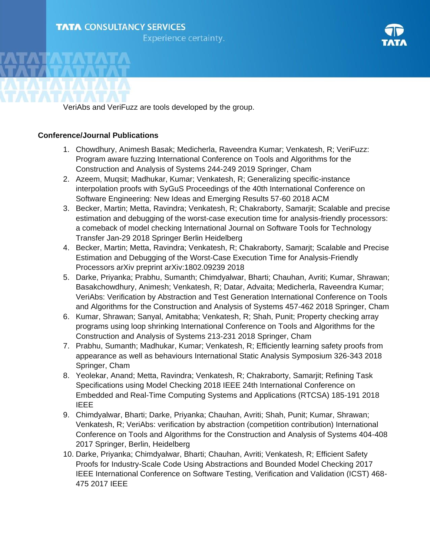# **TATA CONSULTANCY SERVICES**

**Experience certainty.** 



VeriAbs and VeriFuzz are tools developed by the group.

## **Conference/Journal Publications**

- 1. Chowdhury, Animesh Basak; Medicherla, Raveendra Kumar; Venkatesh, R; VeriFuzz: Program aware fuzzing International Conference on Tools and Algorithms for the Construction and Analysis of Systems 244-249 2019 Springer, Cham
- 2. Azeem, Muqsit; Madhukar, Kumar; Venkatesh, R; Generalizing specific-instance interpolation proofs with SyGuS Proceedings of the 40th International Conference on Software Engineering: New Ideas and Emerging Results 57-60 2018 ACM
- 3. Becker, Martin; Metta, Ravindra; Venkatesh, R; Chakraborty, Samarjit; Scalable and precise estimation and debugging of the worst-case execution time for analysis-friendly processors: a comeback of model checking International Journal on Software Tools for Technology Transfer Jan-29 2018 Springer Berlin Heidelberg
- 4. Becker, Martin; Metta, Ravindra; Venkatesh, R; Chakraborty, Samarjt; Scalable and Precise Estimation and Debugging of the Worst-Case Execution Time for Analysis-Friendly Processors arXiv preprint arXiv:1802.09239 2018
- 5. Darke, Priyanka; Prabhu, Sumanth; Chimdyalwar, Bharti; Chauhan, Avriti; Kumar, Shrawan; Basakchowdhury, Animesh; Venkatesh, R; Datar, Advaita; Medicherla, Raveendra Kumar; VeriAbs: Verification by Abstraction and Test Generation International Conference on Tools and Algorithms for the Construction and Analysis of Systems 457-462 2018 Springer, Cham
- 6. Kumar, Shrawan; Sanyal, Amitabha; Venkatesh, R; Shah, Punit; Property checking array programs using loop shrinking International Conference on Tools and Algorithms for the Construction and Analysis of Systems 213-231 2018 Springer, Cham
- 7. Prabhu, Sumanth; Madhukar, Kumar; Venkatesh, R; Efficiently learning safety proofs from appearance as well as behaviours International Static Analysis Symposium 326-343 2018 Springer, Cham
- 8. Yeolekar, Anand; Metta, Ravindra; Venkatesh, R; Chakraborty, Samarjit; Refining Task Specifications using Model Checking 2018 IEEE 24th International Conference on Embedded and Real-Time Computing Systems and Applications (RTCSA) 185-191 2018 IEEE
- 9. Chimdyalwar, Bharti; Darke, Priyanka; Chauhan, Avriti; Shah, Punit; Kumar, Shrawan; Venkatesh, R; VeriAbs: verification by abstraction (competition contribution) International Conference on Tools and Algorithms for the Construction and Analysis of Systems 404-408 2017 Springer, Berlin, Heidelberg
- 10. Darke, Priyanka; Chimdyalwar, Bharti; Chauhan, Avriti; Venkatesh, R; Efficient Safety Proofs for Industry-Scale Code Using Abstractions and Bounded Model Checking 2017 IEEE International Conference on Software Testing, Verification and Validation (ICST) 468- 475 2017 IEEE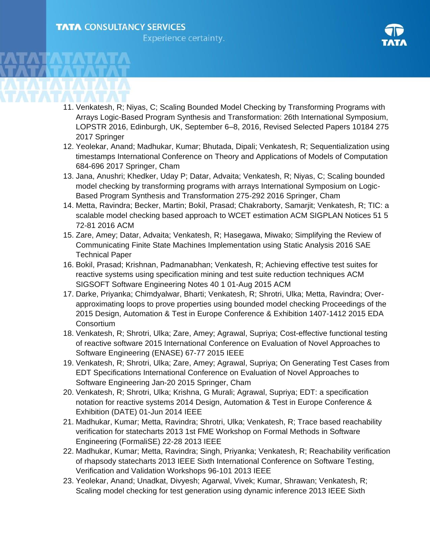

- 11. Venkatesh, R; Niyas, C; Scaling Bounded Model Checking by Transforming Programs with Arrays Logic-Based Program Synthesis and Transformation: 26th International Symposium, LOPSTR 2016, Edinburgh, UK, September 6–8, 2016, Revised Selected Papers 10184 275 2017 Springer
- 12. Yeolekar, Anand; Madhukar, Kumar; Bhutada, Dipali; Venkatesh, R; Sequentialization using timestamps International Conference on Theory and Applications of Models of Computation 684-696 2017 Springer, Cham
- 13. Jana, Anushri; Khedker, Uday P; Datar, Advaita; Venkatesh, R; Niyas, C; Scaling bounded model checking by transforming programs with arrays International Symposium on Logic-Based Program Synthesis and Transformation 275-292 2016 Springer, Cham
- 14. Metta, Ravindra; Becker, Martin; Bokil, Prasad; Chakraborty, Samarjit; Venkatesh, R; TIC: a scalable model checking based approach to WCET estimation ACM SIGPLAN Notices 51 5 72-81 2016 ACM
- 15. Zare, Amey; Datar, Advaita; Venkatesh, R; Hasegawa, Miwako; Simplifying the Review of Communicating Finite State Machines Implementation using Static Analysis 2016 SAE Technical Paper
- 16. Bokil, Prasad; Krishnan, Padmanabhan; Venkatesh, R; Achieving effective test suites for reactive systems using specification mining and test suite reduction techniques ACM SIGSOFT Software Engineering Notes 40 1 01-Aug 2015 ACM
- 17. Darke, Priyanka; Chimdyalwar, Bharti; Venkatesh, R; Shrotri, Ulka; Metta, Ravindra; Overapproximating loops to prove properties using bounded model checking Proceedings of the 2015 Design, Automation & Test in Europe Conference & Exhibition 1407-1412 2015 EDA **Consortium**
- 18. Venkatesh, R; Shrotri, Ulka; Zare, Amey; Agrawal, Supriya; Cost-effective functional testing of reactive software 2015 International Conference on Evaluation of Novel Approaches to Software Engineering (ENASE) 67-77 2015 IEEE
- 19. Venkatesh, R; Shrotri, Ulka; Zare, Amey; Agrawal, Supriya; On Generating Test Cases from EDT Specifications International Conference on Evaluation of Novel Approaches to Software Engineering Jan-20 2015 Springer, Cham
- 20. Venkatesh, R; Shrotri, Ulka; Krishna, G Murali; Agrawal, Supriya; EDT: a specification notation for reactive systems 2014 Design, Automation & Test in Europe Conference & Exhibition (DATE) 01-Jun 2014 IEEE
- 21. Madhukar, Kumar; Metta, Ravindra; Shrotri, Ulka; Venkatesh, R; Trace based reachability verification for statecharts 2013 1st FME Workshop on Formal Methods in Software Engineering (FormaliSE) 22-28 2013 IEEE
- 22. Madhukar, Kumar; Metta, Ravindra; Singh, Priyanka; Venkatesh, R; Reachability verification of rhapsody statecharts 2013 IEEE Sixth International Conference on Software Testing, Verification and Validation Workshops 96-101 2013 IEEE
- 23. Yeolekar, Anand; Unadkat, Divyesh; Agarwal, Vivek; Kumar, Shrawan; Venkatesh, R; Scaling model checking for test generation using dynamic inference 2013 IEEE Sixth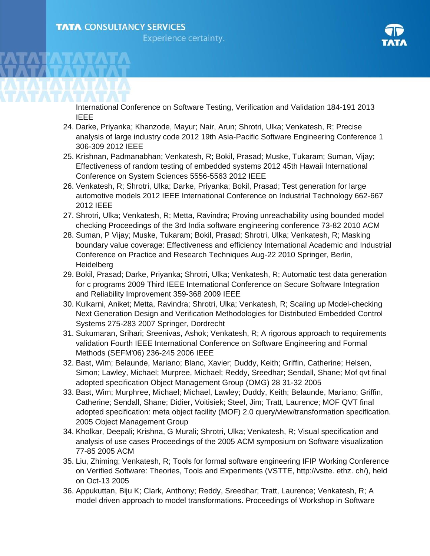

International Conference on Software Testing, Verification and Validation 184-191 2013 IEEE

- 24. Darke, Priyanka; Khanzode, Mayur; Nair, Arun; Shrotri, Ulka; Venkatesh, R; Precise analysis of large industry code 2012 19th Asia-Pacific Software Engineering Conference 1 306-309 2012 IEEE
- 25. Krishnan, Padmanabhan; Venkatesh, R; Bokil, Prasad; Muske, Tukaram; Suman, Vijay; Effectiveness of random testing of embedded systems 2012 45th Hawaii International Conference on System Sciences 5556-5563 2012 IEEE
- 26. Venkatesh, R; Shrotri, Ulka; Darke, Priyanka; Bokil, Prasad; Test generation for large automotive models 2012 IEEE International Conference on Industrial Technology 662-667 2012 IEEE
- 27. Shrotri, Ulka; Venkatesh, R; Metta, Ravindra; Proving unreachability using bounded model checking Proceedings of the 3rd India software engineering conference 73-82 2010 ACM
- 28. Suman, P Vijay; Muske, Tukaram; Bokil, Prasad; Shrotri, Ulka; Venkatesh, R; Masking boundary value coverage: Effectiveness and efficiency International Academic and Industrial Conference on Practice and Research Techniques Aug-22 2010 Springer, Berlin, **Heidelberg**
- 29. Bokil, Prasad; Darke, Priyanka; Shrotri, Ulka; Venkatesh, R; Automatic test data generation for c programs 2009 Third IEEE International Conference on Secure Software Integration and Reliability Improvement 359-368 2009 IEEE
- 30. Kulkarni, Aniket; Metta, Ravindra; Shrotri, Ulka; Venkatesh, R; Scaling up Model-checking Next Generation Design and Verification Methodologies for Distributed Embedded Control Systems 275-283 2007 Springer, Dordrecht
- 31. Sukumaran, Srihari; Sreenivas, Ashok; Venkatesh, R; A rigorous approach to requirements validation Fourth IEEE International Conference on Software Engineering and Formal Methods (SEFM'06) 236-245 2006 IEEE
- 32. Bast, Wim; Belaunde, Mariano; Blanc, Xavier; Duddy, Keith; Griffin, Catherine; Helsen, Simon; Lawley, Michael; Murpree, Michael; Reddy, Sreedhar; Sendall, Shane; Mof qvt final adopted specification Object Management Group (OMG) 28 31-32 2005
- 33. Bast, Wim; Murphree, Michael; Michael, Lawley; Duddy, Keith; Belaunde, Mariano; Griffin, Catherine; Sendall, Shane; Didier, Voitisiek; Steel, Jim; Tratt, Laurence; MOF QVT final adopted specification: meta object facility (MOF) 2.0 query/view/transformation specification. 2005 Object Management Group
- 34. Kholkar, Deepali; Krishna, G Murali; Shrotri, Ulka; Venkatesh, R; Visual specification and analysis of use cases Proceedings of the 2005 ACM symposium on Software visualization 77-85 2005 ACM
- 35. Liu, Zhiming; Venkatesh, R; Tools for formal software engineering IFIP Working Conference on Verified Software: Theories, Tools and Experiments (VSTTE, http://vstte. ethz. ch/), held on Oct-13 2005
- 36. Appukuttan, Biju K; Clark, Anthony; Reddy, Sreedhar; Tratt, Laurence; Venkatesh, R; A model driven approach to model transformations. Proceedings of Workshop in Software